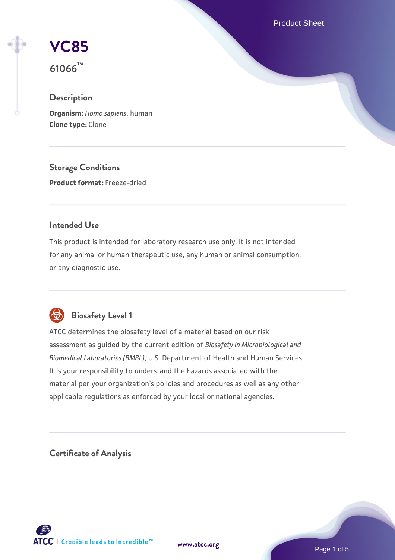Product Sheet

**[VC85](https://www.atcc.org/products/61066)**

**61066™**

## **Description**

**Organism:** *Homo sapiens*, human **Clone type:** Clone

**Storage Conditions Product format:** Freeze-dried

### **Intended Use**

This product is intended for laboratory research use only. It is not intended for any animal or human therapeutic use, any human or animal consumption, or any diagnostic use.



# **Biosafety Level 1**

ATCC determines the biosafety level of a material based on our risk assessment as guided by the current edition of *Biosafety in Microbiological and Biomedical Laboratories (BMBL)*, U.S. Department of Health and Human Services. It is your responsibility to understand the hazards associated with the material per your organization's policies and procedures as well as any other applicable regulations as enforced by your local or national agencies.

**Certificate of Analysis**

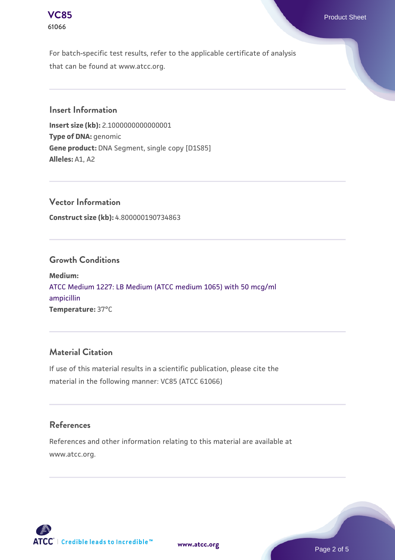

For batch-specific test results, refer to the applicable certificate of analysis that can be found at www.atcc.org.

### **Insert Information**

**Insert size (kb):** 2.1000000000000001 **Type of DNA:** genomic **Gene product:** DNA Segment, single copy [D1S85] **Alleles:** A1, A2

**Vector Information Construct size (kb):** 4.800000190734863

### **Growth Conditions**

**Medium:**  [ATCC Medium 1227: LB Medium \(ATCC medium 1065\) with 50 mcg/ml](https://www.atcc.org/-/media/product-assets/documents/microbial-media-formulations/1/2/2/7/atcc-medium-1227.pdf?rev=581c98603b3e4b29a6d62ee0ba9ca578) [ampicillin](https://www.atcc.org/-/media/product-assets/documents/microbial-media-formulations/1/2/2/7/atcc-medium-1227.pdf?rev=581c98603b3e4b29a6d62ee0ba9ca578) **Temperature:** 37°C

### **Material Citation**

If use of this material results in a scientific publication, please cite the material in the following manner: VC85 (ATCC 61066)

#### **References**

References and other information relating to this material are available at www.atcc.org.



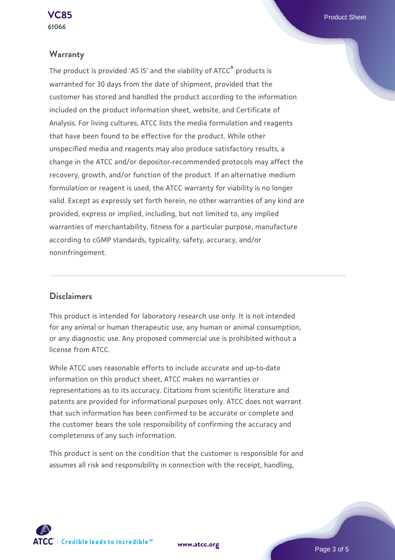### **Warranty**

The product is provided 'AS IS' and the viability of ATCC® products is warranted for 30 days from the date of shipment, provided that the customer has stored and handled the product according to the information included on the product information sheet, website, and Certificate of Analysis. For living cultures, ATCC lists the media formulation and reagents that have been found to be effective for the product. While other unspecified media and reagents may also produce satisfactory results, a change in the ATCC and/or depositor-recommended protocols may affect the recovery, growth, and/or function of the product. If an alternative medium formulation or reagent is used, the ATCC warranty for viability is no longer valid. Except as expressly set forth herein, no other warranties of any kind are provided, express or implied, including, but not limited to, any implied warranties of merchantability, fitness for a particular purpose, manufacture according to cGMP standards, typicality, safety, accuracy, and/or noninfringement.

### **Disclaimers**

This product is intended for laboratory research use only. It is not intended for any animal or human therapeutic use, any human or animal consumption, or any diagnostic use. Any proposed commercial use is prohibited without a license from ATCC.

While ATCC uses reasonable efforts to include accurate and up-to-date information on this product sheet, ATCC makes no warranties or representations as to its accuracy. Citations from scientific literature and patents are provided for informational purposes only. ATCC does not warrant that such information has been confirmed to be accurate or complete and the customer bears the sole responsibility of confirming the accuracy and completeness of any such information.

This product is sent on the condition that the customer is responsible for and assumes all risk and responsibility in connection with the receipt, handling,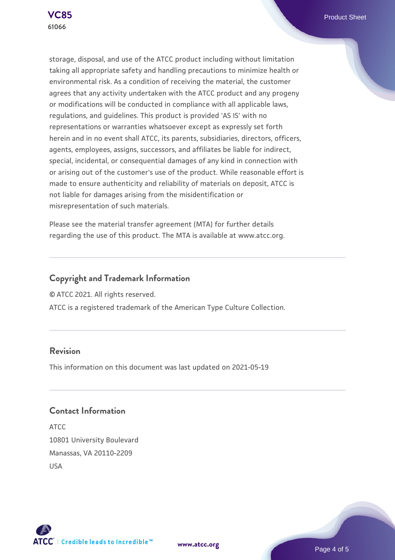

storage, disposal, and use of the ATCC product including without limitation taking all appropriate safety and handling precautions to minimize health or environmental risk. As a condition of receiving the material, the customer agrees that any activity undertaken with the ATCC product and any progeny or modifications will be conducted in compliance with all applicable laws, regulations, and guidelines. This product is provided 'AS IS' with no representations or warranties whatsoever except as expressly set forth herein and in no event shall ATCC, its parents, subsidiaries, directors, officers, agents, employees, assigns, successors, and affiliates be liable for indirect, special, incidental, or consequential damages of any kind in connection with or arising out of the customer's use of the product. While reasonable effort is made to ensure authenticity and reliability of materials on deposit, ATCC is not liable for damages arising from the misidentification or misrepresentation of such materials.

Please see the material transfer agreement (MTA) for further details regarding the use of this product. The MTA is available at www.atcc.org.

### **Copyright and Trademark Information**

© ATCC 2021. All rights reserved.

ATCC is a registered trademark of the American Type Culture Collection.

### **Revision**

This information on this document was last updated on 2021-05-19

### **Contact Information**

ATCC 10801 University Boulevard Manassas, VA 20110-2209 USA





**[www.atcc.org](http://www.atcc.org)**